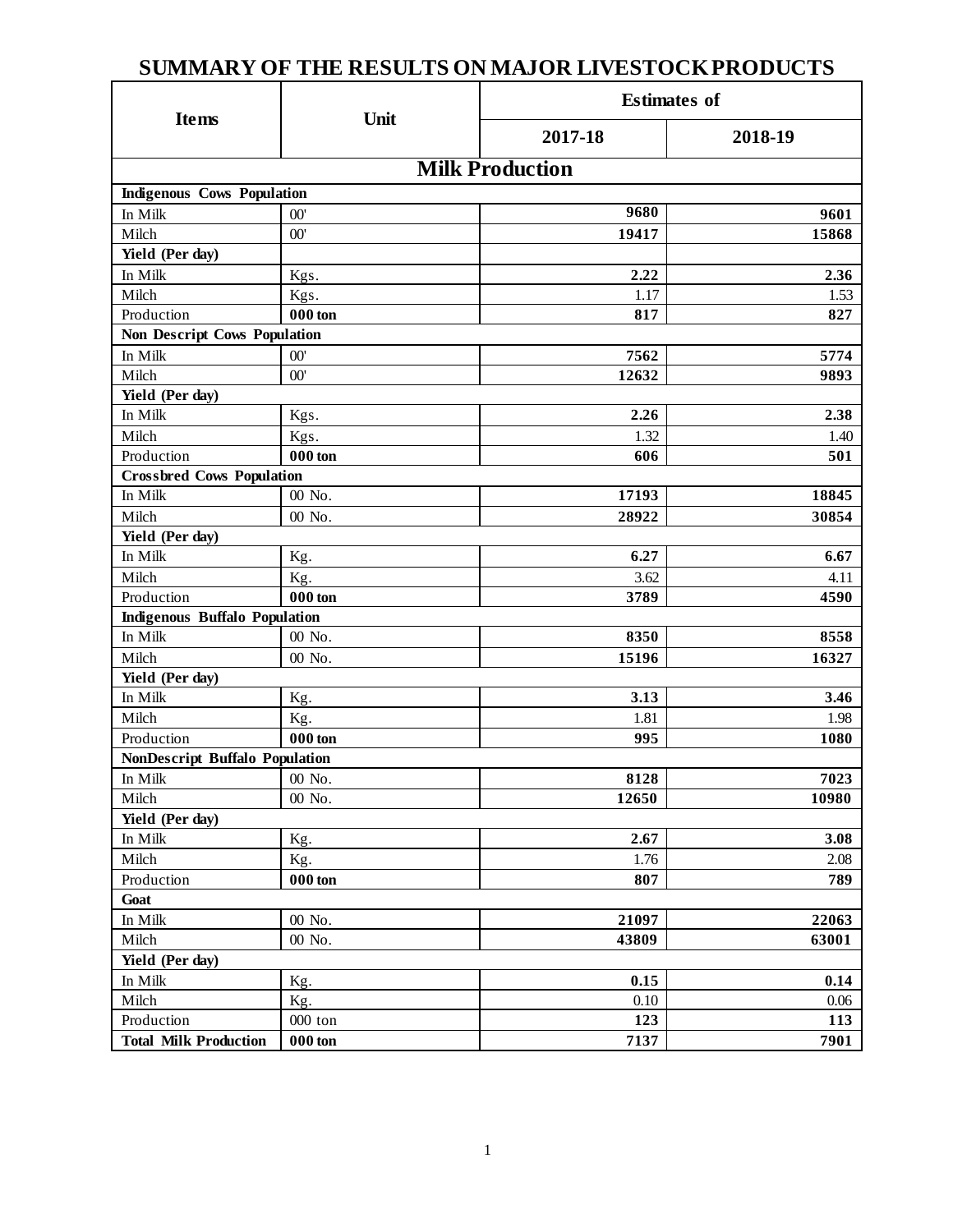# **SUMMARY OF THE RESULTS ON MAJOR LIVESTOCK PRODUCTS**

|                                       |                   | <b>Estimates of</b> |         |  |  |  |  |
|---------------------------------------|-------------------|---------------------|---------|--|--|--|--|
| <b>Items</b>                          | Unit              | 2017-18             | 2018-19 |  |  |  |  |
| <b>Milk Production</b>                |                   |                     |         |  |  |  |  |
| <b>Indigenous Cows Population</b>     |                   |                     |         |  |  |  |  |
| In Milk                               | 00'               | 9680                | 9601    |  |  |  |  |
| Milch                                 | 00'               | 19417               | 15868   |  |  |  |  |
| Yield (Per day)                       |                   |                     |         |  |  |  |  |
| In Milk                               | Kgs.              | 2.22                | 2.36    |  |  |  |  |
| Milch                                 | Kgs.              | 1.17                | 1.53    |  |  |  |  |
| Production                            | $000 \text{ ton}$ | 817                 | 827     |  |  |  |  |
| <b>Non Descript Cows Population</b>   |                   |                     |         |  |  |  |  |
| In Milk                               | 00'               | 7562                | 5774    |  |  |  |  |
| Milch                                 | 00'               | 12632               | 9893    |  |  |  |  |
| Yield (Per day)                       |                   |                     |         |  |  |  |  |
| In Milk                               | Kgs.              | 2.26                | 2.38    |  |  |  |  |
| Milch                                 | Kgs.              | 1.32                | 1.40    |  |  |  |  |
| Production                            | $000 \text{ ton}$ | 606                 | 501     |  |  |  |  |
| <b>Crossbred Cows Population</b>      |                   |                     |         |  |  |  |  |
| In Milk                               | 00 No.            | 17193               | 18845   |  |  |  |  |
| Milch                                 | 00 No.            | 28922               | 30854   |  |  |  |  |
| Yield (Per day)                       |                   |                     |         |  |  |  |  |
| In Milk                               | Kg.               | 6.27                | 6.67    |  |  |  |  |
| Milch                                 | Kg.               | 3.62                | 4.11    |  |  |  |  |
| Production                            | $000 \text{ ton}$ | 3789                | 4590    |  |  |  |  |
| <b>Indigenous Buffalo Population</b>  |                   |                     |         |  |  |  |  |
| In Milk                               | 00 No.            | 8350                | 8558    |  |  |  |  |
| Milch                                 | 00 No.            | 15196               | 16327   |  |  |  |  |
| Yield (Per day)                       |                   |                     |         |  |  |  |  |
| In Milk                               | Kg.               | 3.13                | 3.46    |  |  |  |  |
| Milch                                 | Kg.               | 1.81                | 1.98    |  |  |  |  |
| Production                            | 000 ton           | 995                 | 1080    |  |  |  |  |
| <b>NonDescript Buffalo Population</b> |                   |                     |         |  |  |  |  |
| In Milk                               | 00 No.            | 8128                | 7023    |  |  |  |  |
| Milch                                 | 00 No.            | 12650               | 10980   |  |  |  |  |
| Yield (Per day)                       |                   |                     |         |  |  |  |  |
| In Milk                               | Kg.               | 2.67                | 3.08    |  |  |  |  |
| Milch                                 | Kg.               | 1.76                | 2.08    |  |  |  |  |
| Production                            | $000 \text{ ton}$ | 807                 | 789     |  |  |  |  |
| Goat                                  |                   |                     |         |  |  |  |  |
| In Milk                               | $00$ No. $\,$     | 21097               | 22063   |  |  |  |  |
| Milch                                 | 00 No.            | 43809               | 63001   |  |  |  |  |
| Yield (Per day)                       |                   |                     |         |  |  |  |  |
| In Milk                               | Kg.               | 0.15                | 0.14    |  |  |  |  |
| Milch                                 | Kg.               | 0.10                | 0.06    |  |  |  |  |
| Production                            | 000 ton           | 123                 | 113     |  |  |  |  |
| <b>Total Milk Production</b>          | ${\bf 000}$ ton   | 7137                | 7901    |  |  |  |  |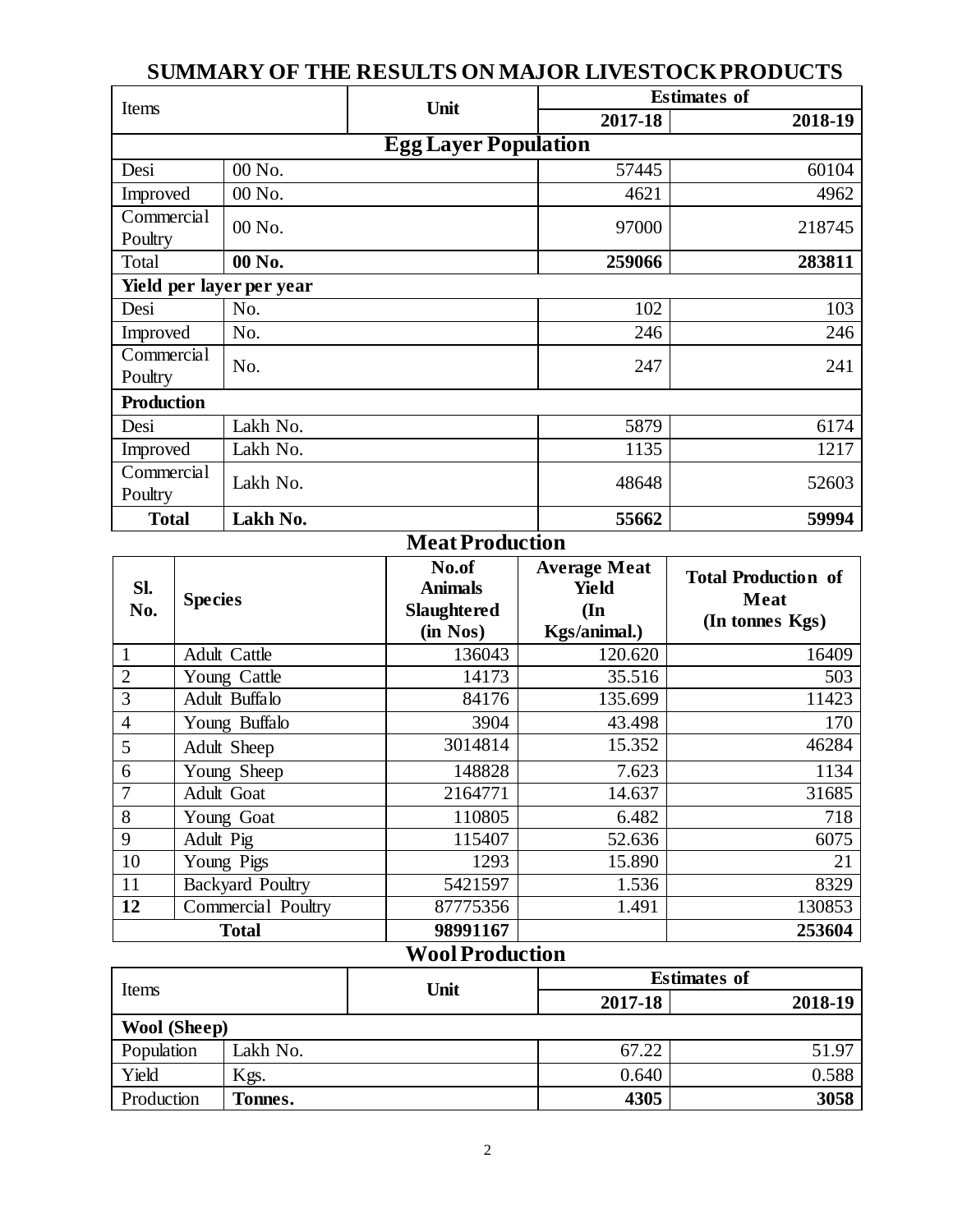### Items **Unit Unit Estimates of 2017-18 2018-19 Egg Layer Population** Desi  $\begin{array}{|c|c|c|c|c|c|c|c|} \hline 00 & \text{No.} \end{array}$  57445 60104 Improved  $\begin{array}{|c|c|c|c|c|c|c|c|} \hline 00 \text{No.} & 4621 \end{array}$  4621 **Commercial**  $\begin{array}{|c|c|c|c|c|c|c|c|}\n\hline \text{Country} & & 00 \text{ No.} & & & 97000 & & 218745 \\
\hline \end{array}$ Total **00 No. 259066 283811 Yield per layer per year** Desi | No. 102 | 102 | 103 Improved No.  $246$  246 Commercial  $\begin{array}{|c|c|c|c|c|}\n\hline\n\text{Country} & \text{No.} & & & 247 \\
\hline\n\end{array}$ **Production** Desi | Lakh No. 6174 Improved Lakh No. 1135 1217 Commercial Poultry Lakh No. 52603 **Total Lakh No. 55662 59994**

## **SUMMARY OF THE RESULTS ON MAJOR LIVESTOCK PRODUCTS**

#### **Meat Production**

| SI.<br>No.     | <b>Species</b>          | No.of<br><b>Animals</b><br><b>Slaughtered</b><br>(in Nos) | <b>Average Meat</b><br>Yield<br>$(\mathbf{In})$<br>Kgs/animal.) | <b>Total Production of</b><br>Meat<br>(In tonnes Kgs) |
|----------------|-------------------------|-----------------------------------------------------------|-----------------------------------------------------------------|-------------------------------------------------------|
|                | <b>Adult Cattle</b>     | 136043                                                    | 120.620                                                         | 16409                                                 |
| $\overline{2}$ | Young Cattle            | 14173                                                     | 35.516                                                          | 503                                                   |
| 3              | Adult Buffalo           | 84176                                                     | 135.699                                                         | 11423                                                 |
| $\overline{4}$ | Young Buffalo           | 3904                                                      | 43.498                                                          | 170                                                   |
| 5              | Adult Sheep             | 3014814                                                   | 15.352                                                          | 46284                                                 |
| 6              | Young Sheep             | 148828                                                    | 7.623                                                           | 1134                                                  |
| 7              | Adult Goat              | 2164771                                                   | 14.637                                                          | 31685                                                 |
| 8              | Young Goat              | 110805                                                    | 6.482                                                           | 718                                                   |
| 9              | Adult Pig               | 115407                                                    | 52.636                                                          | 6075                                                  |
| 10             | Young Pigs              | 1293                                                      | 15.890                                                          | 21                                                    |
| 11             | <b>Backyard Poultry</b> | 5421597                                                   | 1.536                                                           | 8329                                                  |
| 12             | Commercial Poultry      | 87775356                                                  | 1.491                                                           | 130853                                                |
| <b>Total</b>   |                         | 98991167                                                  |                                                                 | 253604                                                |

# **Wool Production**

| Items               |          | Unit | <b>Estimates of</b> |         |  |
|---------------------|----------|------|---------------------|---------|--|
|                     |          |      | 2017-18             | 2018-19 |  |
| <b>Wool</b> (Sheep) |          |      |                     |         |  |
| Population          | Lakh No. |      | 67.22               | 51.97   |  |
| Yield               | Kgs.     |      | 0.640               | 0.588   |  |
| Production          | Fonnes.  |      | 4305                | 3058    |  |